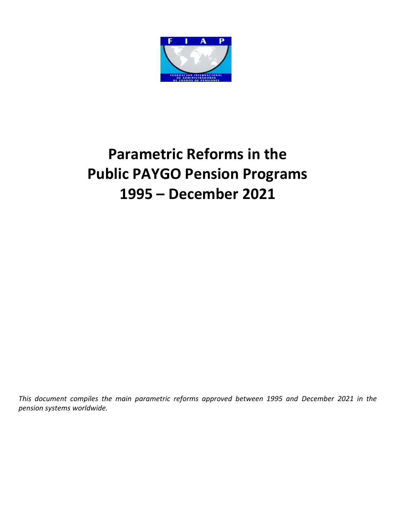

# **Parametric Reforms in the Public PAYGO Pension Programs 1995 – December 2021**

*This document compiles the main parametric reforms approved between 1995 and December 2021 in the pension systems worldwide.*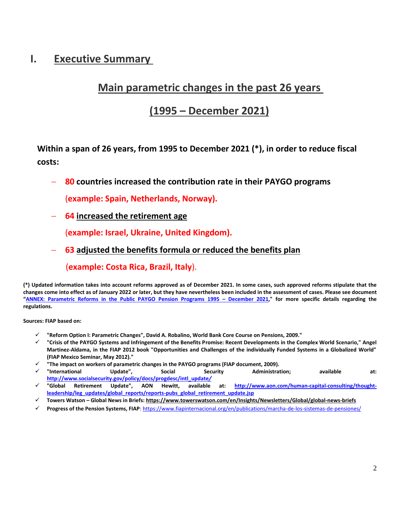### **I. Executive Summary**

### **Main parametric changes in the past 26 years**

### **(1995 – December 2021)**

**Within a span of 26 years, from 1995 to December 2021 (\*), in order to reduce fiscal costs:**

**80 countries increased the contribution rate in their PAYGO programs**

(**example: Spain, Netherlands, Norway).**

**64 increased the retirement age**

(**example: Israel, Ukraine, United Kingdom).**

**63 adjusted the benefits formula or reduced the benefits plan**

(**example: Costa Rica, Brazil, Italy**).

**(\*) Updated information takes into account reforms approved as of December 2021. In some cases, such approved reforms stipulate that the changes come into effect as of January 2022 or later, but they have nevertheless been included in the assessment of cases. Please see document "[ANNEX: Parametric Reforms in the Public PAYGO Pension Programs 1995](https://www.fiapinternacional.org/wp-content/uploads/2022/01/Parametric-Reforms-in-the-Public-PAYGO-Programs_1995-December-2021_ANNEX-1.pdf) – December 2021," for more specific details regarding the regulations.** 

**Sources: FIAP based on:**

- **"Reform Option I: Parametric Changes", David A. Robalino, World Bank Core Course on Pensions, 2009."**
- **"Crisis of the PAYGO Systems and Infringement of the Benefits Promise: Recent Developments in the Complex World Scenario," Angel Martinez-Aldama, in the FIAP 2012 book "Opportunities and Challenges of the individually Funded Systems in a Globalized World" (FIAP Mexico Seminar, May 2012)."**
- 
- **"The impact on workers of parametric changes in the PAYGO programs (FIAP document, 2009). "International Update", Social Security Administration; available at: [http://www.socialsecurity.gov/policy/docs/progdesc/intl\\_update](http://www.socialsecurity.gov/policy/docs/progdesc/intl_update/)***/*
- **"Global Retirement Update", AON Hewitt, available at: [http://www.aon.com/human-capital-consulting/thought](http://www.aon.com/human-capital-consulting/thought-leadership/leg_updates/global_reports/reports-pubs_global_retirement_update.jsp)[leadership/leg\\_updates/global\\_reports/reports-pubs\\_global\\_retirement\\_update.jsp](http://www.aon.com/human-capital-consulting/thought-leadership/leg_updates/global_reports/reports-pubs_global_retirement_update.jsp)**
- **Towers Watson – Global News in Briefs[: https://www.towerswatson.com/en/Insights/Newsletters/Global/global-news-briefs](https://www.towerswatson.com/en/Insights/Newsletters/Global/global-news-briefs)**
- **Progress of the Pension Systems, FIAP**[: https://www.fiapinternacional.org/en/publications/marcha-de-los-sistemas-de-pensiones/](https://www.fiapinternacional.org/en/publications/marcha-de-los-sistemas-de-pensiones/)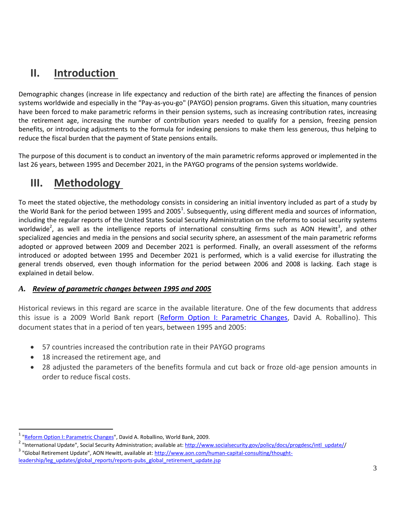# **II. Introduction**

Demographic changes (increase in life expectancy and reduction of the birth rate) are affecting the finances of pension systems worldwide and especially in the "Pay-as-you-go" (PAYGO) pension programs. Given this situation, many countries have been forced to make parametric reforms in their pension systems, such as increasing contribution rates, increasing the retirement age, increasing the number of contribution years needed to qualify for a pension, freezing pension benefits, or introducing adjustments to the formula for indexing pensions to make them less generous, thus helping to reduce the fiscal burden that the payment of State pensions entails.

The purpose of this document is to conduct an inventory of the main parametric reforms approved or implemented in the last 26 years, between 1995 and December 2021, in the PAYGO programs of the pension systems worldwide.

# **III. Methodology**

To meet the stated objective, the methodology consists in considering an initial inventory included as part of a study by the World Bank for the period between 1995 and 2005<sup>1</sup>. Subsequently, using different media and sources of information, including the regular reports of the United States Social Security Administration on the reforms to social security systems worldwide<sup>2</sup>, as well as the intelligence reports of international consulting firms such as AON Hewitt<sup>3</sup>, and other specialized agencies and media in the pensions and social security sphere, an assessment of the main parametric reforms adopted or approved between 2009 and December 2021 is performed. Finally, an overall assessment of the reforms introduced or adopted between 1995 and December 2021 is performed, which is a valid exercise for illustrating the general trends observed, even though information for the period between 2006 and 2008 is lacking. Each stage is explained in detail below.

#### *A. Review of parametric changes between 1995 and 2005*

Historical reviews in this regard are scarce in the available literature. One of the few documents that address this issue is a 2009 World Bank report [\(Reform Option I: Parametric Changes,](http://siteresources.worldbank.org/INTPENSIONS/Resources/395443-1142535808399/2329423-1248892431322/6346243-1266957864347/S5_Robalino_Reform_Option_1.pdf) David A. Roballino). This document states that in a period of ten years, between 1995 and 2005:

- 57 countries increased the contribution rate in their PAYGO programs
- 18 increased the retirement age, and

 $\overline{a}$ 

 28 adjusted the parameters of the benefits formula and cut back or froze old-age pension amounts in order to reduce fiscal costs.

<sup>&</sup>lt;sup>1</sup> ["Reform Option I: Parametric Changes"](http://siteresources.worldbank.org/INTPENSIONS/Resources/395443-1142535808399/2329423-1248892431322/6346243-1266957864347/S5_Robalino_Reform_Option_1.pdf), David A. Roballino, World Bank, 2009.

<sup>&</sup>lt;sup>2</sup> "International Update", Social Security Administration; available at: [http://www.socialsecurity.gov/policy/docs/progdesc/intl\\_update//](http://www.socialsecurity.gov/policy/docs/progdesc/intl_update/) <sup>3</sup> "Global Retirement Update", AON Hewitt, available at: [http://www.aon.com/human-capital-consulting/thought](http://www.aon.com/human-capital-consulting/thought-leadership/leg_updates/global_reports/reports-pubs_global_retirement_update.jsp)[leadership/leg\\_updates/global\\_reports/reports-pubs\\_global\\_retirement\\_update.jsp](http://www.aon.com/human-capital-consulting/thought-leadership/leg_updates/global_reports/reports-pubs_global_retirement_update.jsp)